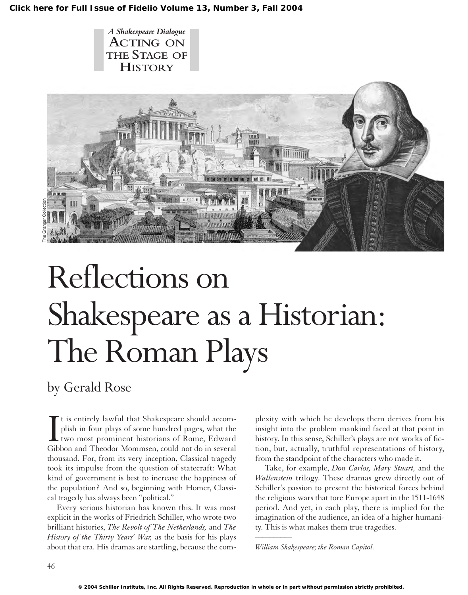**[Click here for Full Issue of Fidelio Volume 13, Number 3, Fall 2004](http://schillerinstitute.org/fidelio_archive/2004/fidv13n03-2004Fa/index.html)**





# Reflections on Shakespeare as a Historian: The Roman Plays

## by Gerald Rose

It is entirely lawful that Shakespeare should accomplish in four plays of some hundred pages, what the two most prominent historians of Rome, Edward Gibbon and Theodor Mommsen, could not do in several t is entirely lawful that Shakespeare should accomplish in four plays of some hundred pages, what the two most prominent historians of Rome, Edward thousand. For, from its very inception, Classical tragedy took its impulse from the question of statecraft: What kind of government is best to increase the happiness of the population? And so, beginning with Homer, Classical tragedy has always been "political."

Every serious historian has known this. It was most explicit in the works of Friedrich Schiller, who wrote two brilliant histories, *The Revolt of The Netherlands,* and *The History of the Thirty Years' War,* as the basis for his plays about that era. His dramas are startling, because the complexity with which he develops them derives from his insight into the problem mankind faced at that point in history. In this sense, Schiller's plays are not works of fiction, but, actually, truthful representations of history, from the standpoint of the characters who made it.

Take, for example, *Don Carlos, Mary Stuart,* and the *Wallenstein* trilogy. These dramas grew directly out of Schiller's passion to present the historical forces behind the religious wars that tore Europe apart in the 1511-1648 period. And yet, in each play, there is implied for the imagination of the audience, an idea of a higher humanity. This is what makes them true tragedies. *\_\_\_\_\_\_\_\_\_\_*

*William Shakespeare; the Roman Capitol.*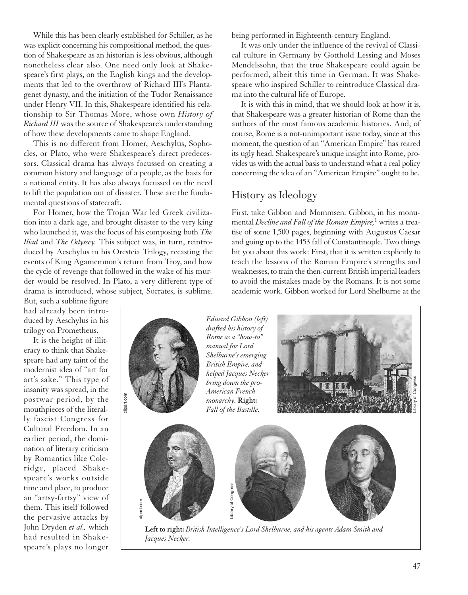While this has been clearly established for Schiller, as he was explicit concerning his compositional method, the question of Shakespeare as an historian is less obvious, although nonetheless clear also. One need only look at Shakespeare's first plays, on the English kings and the developments that led to the overthrow of Richard III's Plantagenet dynasty, and the initiation of the Tudor Renaissance under Henry VII. In this, Shakespeare identified his relationship to Sir Thomas More, whose own *History of Richard III* was the source of Shakespeare's understanding of how these developments came to shape England.

This is no different from Homer, Aeschylus, Sophocles, or Plato, who were Shakespeare's direct predecessors. Classical drama has always focussed on creating a common history and language of a people, as the basis for a national entity. It has also always focussed on the need to lift the population out of disaster. These are the fundamental questions of statecraft.

For Homer, how the Trojan War led Greek civilization into a dark age, and brought disaster to the very king who launched it, was the focus of his composing both *The Iliad* and *The Odyssey.* This subject was, in turn, reintroduced by Aeschylus in his Oresteia Trilogy, recasting the events of King Agamemnon's return from Troy, and how the cycle of revenge that followed in the wake of his murder would be resolved. In Plato, a very different type of drama is introduced, whose subject, Socrates, is sublime.

*Jacques Necker.*

being performed in Eighteenth-century England.

It was only under the influence of the revival of Classical culture in Germany by Gotthold Lessing and Moses Mendelssohn, that the true Shakespeare could again be performed, albeit this time in German. It was Shakespeare who inspired Schiller to reintroduce Classical drama into the cultural life of Europe.

It is with this in mind, that we should look at how it is, that Shakespeare was a greater historian of Rome than the authors of the most famous academic histories. And, of course, Rome is a not-unimportant issue today, since at this moment, the question of an "American Empire" has reared its ugly head. Shakespeare's unique insight into Rome, provides us with the actual basis to understand what a real policy concerning the idea of an "American Empire" ought to be.

#### History as Ideology

First, take Gibbon and Mommsen. Gibbon, in his monumental *Decline and Fall of the Roman Empire,*<sup>1</sup> writes a treatise of some 1,500 pages, beginning with Augustus Caesar and going up to the 1453 fall of Constantinople. Two things hit you about this work: First, that it is written explicitly to teach the lessons of the Roman Empire's strengths and weaknesses, to train the then-current British imperial leaders to avoid the mistakes made by the Romans. It is not some academic work. Gibbon worked for Lord Shelburne at the

But, such a sublime figure had already been introduced by Aeschylus in his trilogy on Prometheus.

It is the height of illiteracy to think that Shakespeare had any taint of the modernist idea of "art for art's sake." This type of insanity was spread, in the postwar period, by the mouthpieces of the literally fascist Congress for Cultural Freedom. In an earlier period, the domination of literary criticism by Romantics like Coleridge, placed Shakespeare's works outside time and place, to produce an "artsy-fartsy" view of them. This itself followed the pervasive attacks by John Dryden *et al.,* which had resulted in Shakespeare's plays no longer

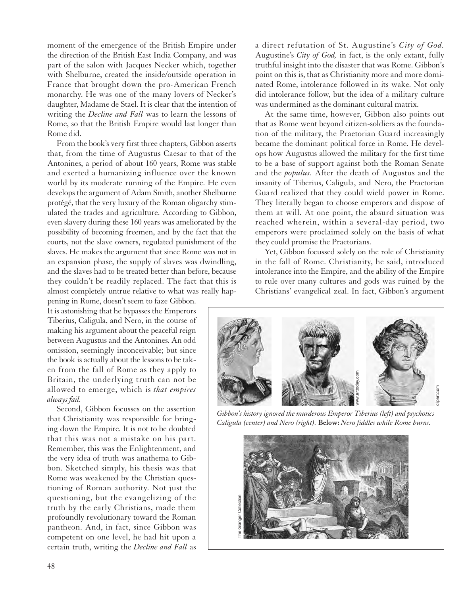moment of the emergence of the British Empire under the direction of the British East India Company, and was part of the salon with Jacques Necker which, together with Shelburne, created the inside/outside operation in France that brought down the pro-American French monarchy. He was one of the many lovers of Necker's daughter, Madame de Stael. It is clear that the intention of writing the *Decline and Fall* was to learn the lessons of Rome, so that the British Empire would last longer than Rome did.

From the book's very first three chapters, Gibbon asserts that, from the time of Augustus Caesar to that of the Antonines, a period of about 160 years, Rome was stable and exerted a humanizing influence over the known world by its moderate running of the Empire. He even develops the argument of Adam Smith, another Shelburne protégé, that the very luxury of the Roman oligarchy stimulated the trades and agriculture. According to Gibbon, even slavery during these 160 years was ameliorated by the possibility of becoming freemen, and by the fact that the courts, not the slave owners, regulated punishment of the slaves. He makes the argument that since Rome was not in an expansion phase, the supply of slaves was dwindling, and the slaves had to be treated better than before, because they couldn't be readily replaced. The fact that this is almost completely untrue relative to what was really hap-

pening in Rome, doesn't seem to faze Gibbon. It is astonishing that he bypasses the Emperors Tiberius, Caligula, and Nero, in the course of making his argument about the peaceful reign between Augustus and the Antonines. An odd omission, seemingly inconceivable; but since the book is actually about the lessons to be taken from the fall of Rome as they apply to Britain, the underlying truth can not be allowed to emerge, which is *that empires always fail.*

Second, Gibbon focusses on the assertion that Christianity was responsible for bringing down the Empire. It is not to be doubted that this was not a mistake on his part. Remember, this was the Enlightenment, and the very idea of truth was anathema to Gibbon. Sketched simply, his thesis was that Rome was weakened by the Christian questioning of Roman authority. Not just the questioning, but the evangelizing of the truth by the early Christians, made them profoundly revolutionary toward the Roman pantheon. And, in fact, since Gibbon was competent on one level, he had hit upon a certain truth, writing the *Decline and Fall* as

a direct refutation of St. Augustine's *City of God.* Augustine's *City of God,* in fact, is the only extant, fully truthful insight into the disaster that was Rome. Gibbon's point on this is, that as Christianity more and more dominated Rome, intolerance followed in its wake. Not only did intolerance follow, but the idea of a military culture was undermined as the dominant cultural matrix.

At the same time, however, Gibbon also points out that as Rome went beyond citizen-soldiers as the foundation of the military, the Praetorian Guard increasingly became the dominant political force in Rome. He develops how Augustus allowed the military for the first time to be a base of support against both the Roman Senate and the *populus.* After the death of Augustus and the insanity of Tiberius, Caligula, and Nero, the Praetorian Guard realized that they could wield power in Rome. They literally began to choose emperors and dispose of them at will. At one point, the absurd situation was reached wherein, within a several-day period, two emperors were proclaimed solely on the basis of what they could promise the Praetorians.

Yet, Gibbon focussed solely on the role of Christianity in the fall of Rome. Christianity, he said, introduced intolerance into the Empire, and the ability of the Empire to rule over many cultures and gods was ruined by the Christians' evangelical zeal. In fact, Gibbon's argument



*Gibbon's history ignored the murderous Emperor Tiberius (left) and psychotics Caligula (center) and Nero (right).* **Below:** *Nero fiddles while Rome burns.*

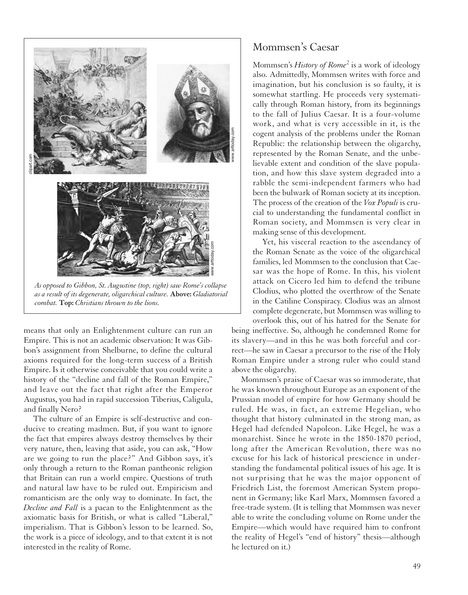

*as a result of its degenerate, oligarchical culture.* **Above:** *Gladiatorial combat.* **Top:** *Christians thrown to the lions.*

means that only an Enlightenment culture can run an Empire. This is not an academic observation: It was Gibbon's assignment from Shelburne, to define the cultural axioms required for the long-term success of a British Empire. Is it otherwise conceivable that you could write a history of the "decline and fall of the Roman Empire," and leave out the fact that right after the Emperor Augustus, you had in rapid succession Tiberius, Caligula, and finally Nero?

The culture of an Empire is self-destructive and conducive to creating madmen. But, if you want to ignore the fact that empires always destroy themselves by their very nature, then, leaving that aside, you can ask, "How are we going to run the place?" And Gibbon says, it's only through a return to the Roman pantheonic religion that Britain can run a world empire. Questions of truth and natural law have to be ruled out. Empiricism and romanticism are the only way to dominate. In fact, the *Decline and Fall* is a paean to the Enlightenment as the axiomatic basis for British, or what is called "Liberal," imperialism. That is Gibbon's lesson to be learned. So, the work is a piece of ideology, and to that extent it is not interested in the reality of Rome.

#### Mommsen's Caesar

Mommsen's *History of Rome*<sup>2</sup> is a work of ideology also. Admittedly, Mommsen writes with force and imagination, but his conclusion is so faulty, it is somewhat startling. He proceeds very systematically through Roman history, from its beginnings to the fall of Julius Caesar. It is a four-volume work, and what is very accessible in it, is the cogent analysis of the problems under the Roman Republic: the relationship between the oligarchy, represented by the Roman Senate, and the unbelievable extent and condition of the slave population, and how this slave system degraded into a rabble the semi-independent farmers who had been the bulwark of Roman society at its inception. The process of the creation of the *Vox Populi* is crucial to understanding the fundamental conflict in Roman society, and Mommsen is very clear in making sense of this development.

Yet, his visceral reaction to the ascendancy of the Roman Senate as the voice of the oligarchical families, led Mommsen to the conclusion that Caesar was the hope of Rome. In this, his violent attack on Cicero led him to defend the tribune Clodius, who plotted the overthrow of the Senate in the Catiline Conspiracy. Clodius was an almost complete degenerate, but Mommsen was willing to overlook this, out of his hatred for the Senate for

being ineffective. So, although he condemned Rome for its slavery—and in this he was both forceful and correct—he saw in Caesar a precursor to the rise of the Holy Roman Empire under a strong ruler who could stand above the oligarchy.

Mommsen's praise of Caesar was so immoderate, that he was known throughout Europe as an exponent of the Prussian model of empire for how Germany should be ruled. He was, in fact, an extreme Hegelian, who thought that history culminated in the strong man, as Hegel had defended Napoleon. Like Hegel, he was a monarchist. Since he wrote in the 1850-1870 period, long after the American Revolution, there was no excuse for his lack of historical prescience in understanding the fundamental political issues of his age. It is not surprising that he was the major opponent of Friedrich List, the foremost American System proponent in Germany; like Karl Marx, Mommsen favored a free-trade system. (It is telling that Mommsen was never able to write the concluding volume on Rome under the Empire—which would have required him to confront the reality of Hegel's "end of history" thesis—although he lectured on it.)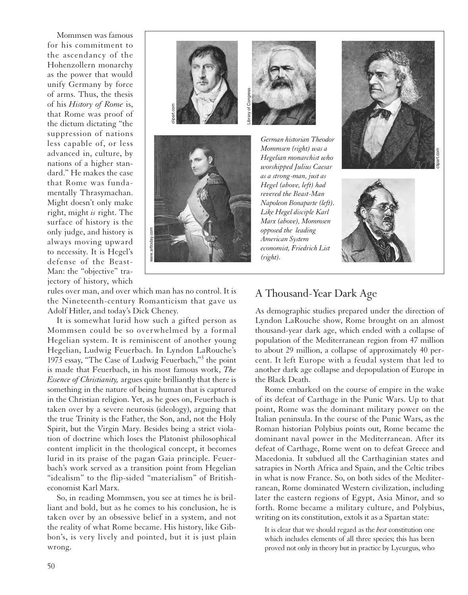Mommsen was famous for his commitment to the ascendancy of the Hohenzollern monarchy as the power that would unify Germany by force of arms. Thus, the thesis of his *History of Rome* is, that Rome was proof of the dictum dictating "the suppression of nations less capable of, or less advanced in, culture, by nations of a higher standard." He makes the case that Rome was fundamentally Thrasymachan. Might doesn't only make right, might *is* right. The surface of history is the only judge, and history is always moving upward to necessity. It is Hegel's defense of the Beast-Man: the "objective" trajectory of history, which



*German historian Theodor Mommsen (right) was a Hegelian monarchist who worshipped Julius Caesar as a strong-man, just as Hegel (above, left) had revered the Beast-Man Napoleon Bonaparte (left). Like Hegel disciple Karl Marx (above), Mommsen opposed the leading American System economist, Friedrich List (right).* 





rules over man, and over which man has no control. It is the Nineteenth-century Romanticism that gave us Adolf Hitler, and today's Dick Cheney.

It is somewhat lurid how such a gifted person as Mommsen could be so overwhelmed by a formal Hegelian system. It is reminiscent of another young Hegelian, Ludwig Feuerbach. In Lyndon LaRouche's 1973 essay, "The Case of Ludwig Feuerbach,"3 the point is made that Feuerbach, in his most famous work, *The Essence of Christianity,* argues quite brilliantly that there is something in the nature of being human that is captured in the Christian religion. Yet, as he goes on, Feuerbach is taken over by a severe neurosis (ideology), arguing that the true Trinity is the Father, the Son, and, not the Holy Spirit, but the Virgin Mary. Besides being a strict violation of doctrine which loses the Platonist philosophical content implicit in the theological concept, it becomes lurid in its praise of the pagan Gaia principle. Feuerbach's work served as a transition point from Hegelian "idealism" to the flip-sided "materialism" of Britisheconomist Karl Marx.

So, in reading Mommsen, you see at times he is brilliant and bold, but as he comes to his conclusion, he is taken over by an obsessive belief in a system, and not the reality of what Rome became. His history, like Gibbon's, is very lively and pointed, but it is just plain wrong.

### A Thousand-Year Dark Age

As demographic studies prepared under the direction of Lyndon LaRouche show, Rome brought on an almost thousand-year dark age, which ended with a collapse of population of the Mediterranean region from 47 million to about 29 million, a collapse of approximately 40 percent. It left Europe with a feudal system that led to another dark age collapse and depopulation of Europe in the Black Death.

Rome embarked on the course of empire in the wake of its defeat of Carthage in the Punic Wars. Up to that point, Rome was the dominant military power on the Italian peninsula. In the course of the Punic Wars, as the Roman historian Polybius points out, Rome became the dominant naval power in the Mediterranean. After its defeat of Carthage, Rome went on to defeat Greece and Macedonia. It subdued all the Carthaginian states and satrapies in North Africa and Spain, and the Celtic tribes in what is now France. So, on both sides of the Mediterranean, Rome dominated Western civilization, including later the eastern regions of Egypt, Asia Minor, and so forth. Rome became a military culture, and Polybius, writing on its constitution, extols it as a Spartan state:

It is clear that we should regard as the *best* constitution one which includes elements of all three species; this has been proved not only in theory but in practice by Lycurgus, who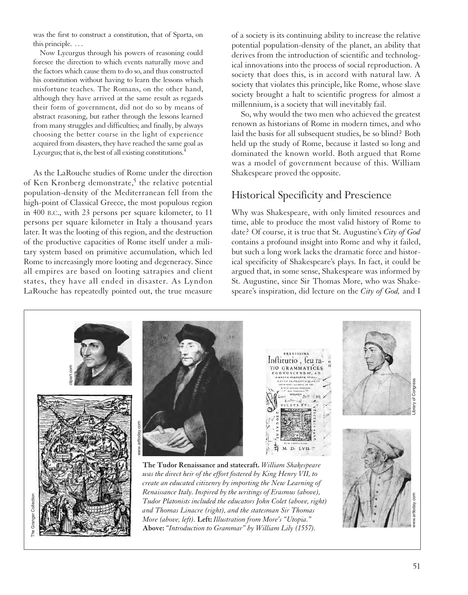was the first to construct a constitution, that of Sparta, on this principle. . . .

Now Lycurgus through his powers of reasoning could foresee the direction to which events naturally move and the factors which cause them to do so, and thus constructed his constitution without having to learn the lessons which misfortune teaches. The Romans, on the other hand, although they have arrived at the same result as regards their form of government, did not do so by means of abstract reasoning, but rather through the lessons learned from many struggles and difficulties; and finally, by always choosing the better course in the light of experience acquired from disasters, they have reached the same goal as Lycurgus; that is, the best of all existing constitutions.<sup>4</sup>

As the LaRouche studies of Rome under the direction of Ken Kronberg demonstrate,<sup>5</sup> the relative potential population-density of the Mediterranean fell from the high-point of Classical Greece, the most populous region in 400 B.C., with 23 persons per square kilometer, to 11 persons per square kilometer in Italy a thousand years later. It was the looting of this region, and the destruction of the productive capacities of Rome itself under a military system based on primitive accumulation, which led Rome to increasingly more looting and degeneracy. Since all empires are based on looting satrapies and client states, they have all ended in disaster. As Lyndon LaRouche has repeatedly pointed out, the true measure

of a society is its continuing ability to increase the relative potential population-density of the planet, an ability that derives from the introduction of scientific and technological innovations into the process of social reproduction. A society that does this, is in accord with natural law. A society that violates this principle, like Rome, whose slave society brought a halt to scientific progress for almost a millennium, is a society that will inevitably fail.

So, why would the two men who achieved the greatest renown as historians of Rome in modern times, and who laid the basis for all subsequent studies, be so blind? Both held up the study of Rome, because it lasted so long and dominated the known world. Both argued that Rome was a model of government because of this. William Shakespeare proved the opposite.

#### Historical Specificity and Prescience

Why was Shakespeare, with only limited resources and time, able to produce the most valid history of Rome to date? Of course, it is true that St. Augustine's *City of God* contains a profound insight into Rome and why it failed, but such a long work lacks the dramatic force and historical specificity of Shakespeare's plays. In fact, it could be argued that, in some sense, Shakespeare was informed by St. Augustine, since Sir Thomas More, who was Shakespeare's inspiration, did lecture on the *City of God,* and I

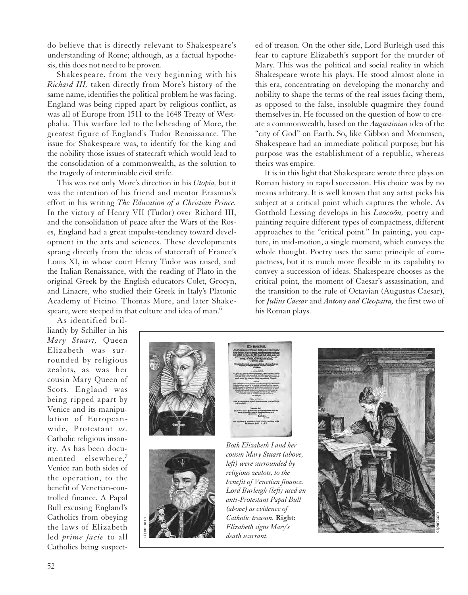do believe that is directly relevant to Shakespeare's understanding of Rome; although, as a factual hypothesis, this does not need to be proven.

Shakespeare, from the very beginning with his *Richard III,* taken directly from More's history of the same name, identifies the political problem he was facing. England was being ripped apart by religious conflict, as was all of Europe from 1511 to the 1648 Treaty of Westphalia. This warfare led to the beheading of More, the greatest figure of England's Tudor Renaissance. The issue for Shakespeare was, to identify for the king and the nobility those issues of statecraft which would lead to the consolidation of a commonwealth, as the solution to the tragedy of interminable civil strife.

This was not only More's direction in his *Utopia,* but it was the intention of his friend and mentor Erasmus's effort in his writing *The Education of a Christian Prince.* In the victory of Henry VII (Tudor) over Richard III, and the consolidation of peace after the Wars of the Roses, England had a great impulse-tendency toward development in the arts and sciences. These developments sprang directly from the ideas of statecraft of France's Louis XI, in whose court Henry Tudor was raised, and the Italian Renaissance, with the reading of Plato in the original Greek by the English educators Colet, Grocyn, and Linacre, who studied their Greek in Italy's Platonic Academy of Ficino. Thomas More, and later Shakespeare, were steeped in that culture and idea of man.<sup>6</sup>

ed of treason. On the other side, Lord Burleigh used this fear to capture Elizabeth's support for the murder of Mary. This was the political and social reality in which Shakespeare wrote his plays. He stood almost alone in this era, concentrating on developing the monarchy and nobility to shape the terms of the real issues facing them, as opposed to the false, insoluble quagmire they found themselves in. He focussed on the question of how to create a commonwealth, based on the *Augustinian* idea of the "city of God" on Earth. So, like Gibbon and Mommsen, Shakespeare had an immediate political purpose; but his purpose was the establishment of a republic, whereas theirs was empire.

It is in this light that Shakespeare wrote three plays on Roman history in rapid succession. His choice was by no means arbitrary. It is well known that any artist picks his subject at a critical point which captures the whole. As Gotthold Lessing develops in his *Laocoön,* poetry and painting require different types of compactness, different approaches to the "critical point." In painting, you capture, in mid-motion, a single moment, which conveys the whole thought. Poetry uses the same principle of compactness, but it is much more flexible in its capability to convey a succession of ideas. Shakespeare chooses as the critical point, the moment of Caesar's assassination, and the transition to the rule of Octavian (Augustus Caesar), for *Julius Caesar* and *Antony and Cleopatra,* the first two of his Roman plays.

As identified brilliantly by Schiller in his *Mary Stuart,* Queen Elizabeth was surrounded by religious zealots, as was her cousin Mary Queen of Scots. England was being ripped apart by Venice and its manipulation of Europeanwide, Protestant *vs.* Catholic religious insanity. As has been documented elsewhere.<sup>7</sup> Venice ran both sides of the operation, to the benefit of Venetian-controlled finance. A Papal Bull excusing England's Catholics from obeying the laws of Elizabeth led *prime facie* to all Catholics being suspect-





*Both Elizabeth I and her cousin Mary Stuart (above, left) were surrounded by religious zealots, to the benefit of Venetian finance. Lord Burleigh (left) used an anti-Protestant Papal Bull (above) as evidence of Catholic treason.* **Right:**

*Elizabeth signs Mary's death warrant.*

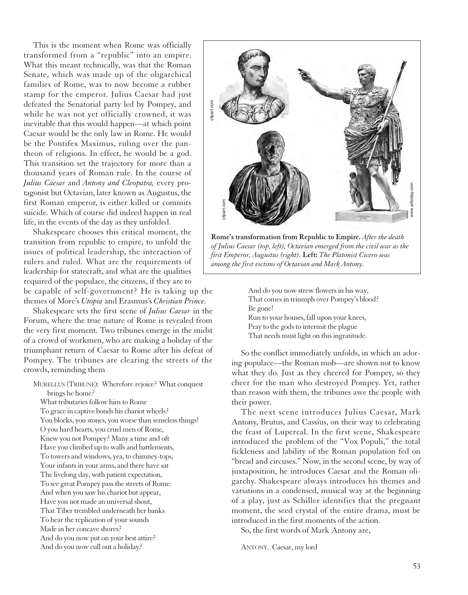This is the moment when Rome was officially transformed from a "republic" into an empire. What this meant technically, was that the Roman Senate, which was made up of the oligarchical families of Rome, was to now become a rubber stamp for the emperor. Julius Caesar had just defeated the Senatorial party led by Pompey, and while he was not yet officially crowned, it was inevitable that this would happen—at which point Caesar would be the only law in Rome. He would be the Pontifex Maximus, ruling over the pantheon of religions. In effect, he would be a god. This transition set the trajectory for more than a thousand years of Roman rule. In the course of *Julius Caesar* and *Antony and Cleopatra,* every protagonist but Octavian, later known as Augustus, the first Roman emperor, is either killed or commits suicide. Which of course did indeed happen in real life, in the events of the day as they unfolded.

Shakespeare chooses this critical moment, the transition from republic to empire, to unfold the issues of political leadership, the interaction of rulers and ruled. What are the requirements of leadership for statecraft, and what are the qualities required of the populace, the citizens, if they are to

be capable of self-government? He is taking up the themes of More's *Utopia* and Erasmus's *Christian Prince.*

Shakespeare sets the first scene of *Julius Caesar* in the Forum, where the true nature of Rome is revealed from the very first moment. Two tribunes emerge in the midst of a crowd of workmen, who are making a holiday of the triumphant return of Caesar to Rome after his defeat of Pompey. The tribunes are clearing the streets of the crowds, reminding them

MURELLUS (TRIBUNE): Wherefore rejoice? What conquest brings he home? What tributaries follow him to Rome

To grace in captive bonds his chariot wheels? You blocks, you stones, you worse than senseless things! O you hard hearts, you cruel men of Rome, Knew you not Pompey? Many a time and oft Have you climbed up to walls and battlements, To towers and windows, yea, to chimney-tops, Your infants in your arms, and there have sat The livelong day, with patient expectation, To see great Pompey pass the streets of Rome: And when you saw his chariot but appear, Have you not made an universal shout, That Tiber trembled underneath her banks To hear the replication of your sounds Made in her concave shores? And do you now put on your best attire? And do you now cull out a holiday?



*of Julius Caesar (top, left), Octavian emerged from the civil war as the first Emperor, Augustus (right).* **Left:** *The Platonist Cicero was among the first victims of Octavian and Mark Antony.*

And do you now strew flowers in his way, That comes in triumph over Pompey's blood? Be gone! Run to your houses, fall upon your knees,

Pray to the gods to intermit the plague That needs must light on this ingratitude.

So the conflict immediately unfolds, in which an adoring populace—the Roman mob—are shown not to know what they do. Just as they cheered for Pompey, so they cheer for the man who destroyed Pompey. Yet, rather than reason with them, the tribunes awe the people with their power.

The next scene introduces Julius Caesar, Mark Antony, Brutus, and Cassius, on their way to celebrating the feast of Lupercal. In the first scene, Shakespeare introduced the problem of the "Vox Populi," the total fickleness and lability of the Roman population fed on "bread and circuses." Now, in the second scene, by way of juxtaposition, he introduces Caesar and the Roman oligarchy. Shakespeare always introduces his themes and variations in a condensed, musical way at the beginning of a play, just as Schiller identifies that the pregnant moment, the seed crystal of the entire drama, must be introduced in the first moments of the action.

So, the first words of Mark Antony are,

ANTONY. Caesar, my lord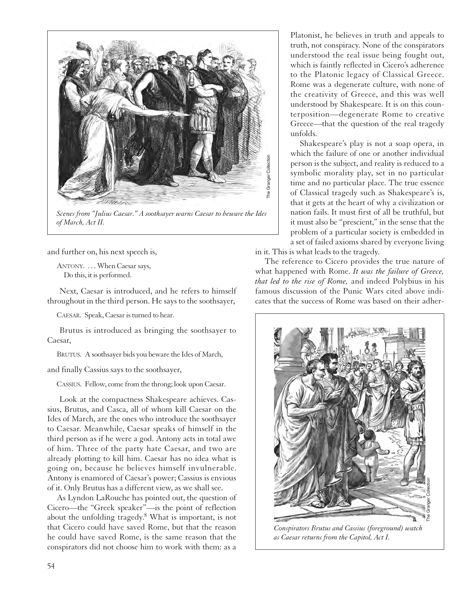

*Scenes from "Julius Caesar." A soothsayer warns Caesar to beware the Ides of March, Act II.*

and further on, his next speech is,

ANTONY. ... When Caesar says, Do this, it is performed.

Next, Caesar is introduced, and he refers to himself throughout in the third person. He says to the soothsayer,

CAESAR. Speak, Caesar is turned to hear.

Brutus is introduced as bringing the soothsayer to Caesar,

BRUTUS. A soothsayer bids you beware the Ides of March,

and finally Cassius says to the soothsayer,

CASSIUS. Fellow, come from the throng; look upon Caesar.

Look at the compactness Shakespeare achieves. Cassius, Brutus, and Casca, all of whom kill Caesar on the Ides of March, are the ones who introduce the soothsayer to Caesar. Meanwhile, Caesar speaks of himself in the third person as if he were a god. Antony acts in total awe of him. Three of the party hate Caesar, and two are already plotting to kill him. Caesar has no idea what is going on, because he believes himself invulnerable. Antony is enamored of Caesar's power; Cassius is envious of it. Only Brutus has a different view, as we shall see.

As Lyndon LaRouche has pointed out, the question of Cicero—the "Greek speaker"—is the point of reflection about the unfolding tragedy.8 What is important, is not that Cicero could have saved Rome, but that the reason he could have saved Rome, is the same reason that the conspirators did not choose him to work with them: as a

Platonist, he believes in truth and appeals to truth, not conspiracy. None of the conspirators understood the real issue being fought out, which is faintly reflected in Cicero's adherence to the Platonic legacy of Classical Greece. Rome was a degenerate culture, with none of the creativity of Greece, and this was well understood by Shakespeare. It is on this counterposition—degenerate Rome to creative Greece—that the question of the real tragedy unfolds.

Shakespeare's play is not a soap opera, in which the failure of one or another individual person is the subject, and reality is reduced to a symbolic morality play, set in no particular time and no particular place. The true essence of Classical tragedy such as Shakespeare's is, that it gets at the heart of why a civilization or nation fails. It must first of all be truthful, but it must also be "prescient," in the sense that the problem of a particular society is embedded in a set of failed axioms shared by everyone living in it. This is what leads to the tragedy.

The reference to Cicero provides the true nature of what happened with Rome. *It was the failure of Greece, that led to the rise of Rome,* and indeed Polybius in his famous discussion of the Punic Wars cited above indicates that the success of Rome was based on their adher-



*Conspirators Brutus and Cassius (foreground) watch as Caesar returns from the Capitol, Act I.*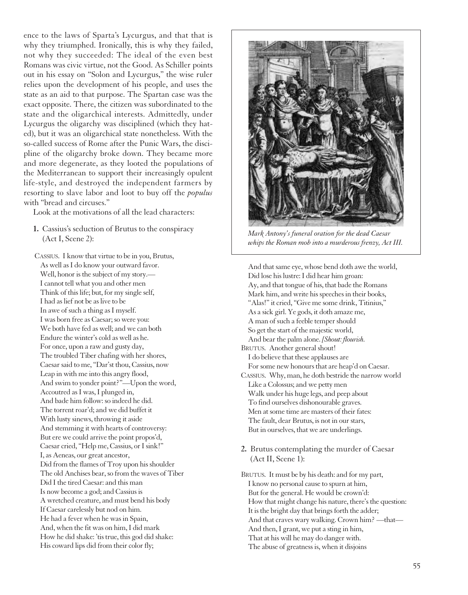ence to the laws of Sparta's Lycurgus, and that that is why they triumphed. Ironically, this is why they failed, not why they succeeded: The ideal of the even best Romans was civic virtue, not the Good. As Schiller points out in his essay on "Solon and Lycurgus," the wise ruler relies upon the development of his people, and uses the state as an aid to that purpose. The Spartan case was the exact opposite. There, the citizen was subordinated to the state and the oligarchical interests. Admittedly, under Lycurgus the oligarchy was disciplined (which they hated), but it was an oligarchical state nonetheless. With the so-called success of Rome after the Punic Wars, the discipline of the oligarchy broke down. They became more and more degenerate, as they looted the populations of the Mediterranean to support their increasingly opulent life-style, and destroyed the independent farmers by resorting to slave labor and loot to buy off the *populus* with "bread and circuses."

Look at the motivations of all the lead characters:

**1.** Cassius's seduction of Brutus to the conspiracy (Act I, Scene 2):

CASSIUS. I know that virtue to be in you, Brutus, As well as I do know your outward favor. Well, honor is the subject of my story.— Icannot tell what you and other men Think of this life; but, for my single self, I had as lief not be as live to be In awe of such a thing as I myself. I was born free as Caesar; so were you: We both have fed as well; and we can both Endure the winter's cold as well as he. For once, upon a raw and gusty day, The troubled Tiber chafing with her shores, Caesar said to me, "Dar'st thou, Cassius, now Leap in with me into this angry flood, And swim to yonder point?"—Upon the word, Accoutred as I was, I plunged in, And bade him follow: so indeed he did. The torrent roar'd; and we did buffet it With lusty sinews, throwing it aside And stemming it with hearts of controversy: But ere we could arrive the point propos'd, Caesar cried, "Help me, Cassius, or I sink!" I, as Aeneas, our great ancestor, Did from the flames of Troy upon his shoulder The old Anchises bear, so from the waves of Tiber Did I the tired Caesar: and this man Is now become a god; and Cassius is A wretched creature, and must bend his body If Caesar carelessly but nod on him. He had a fever when he was in Spain, And, when the fit was on him, I did mark How he did shake: 'tis true, this god did shake: His coward lips did from their color fly;



*Mark Antony's funeral oration for the dead Caesar whips the Roman mob into a murderous frenzy, Act III.*

And that same eye, whose bend doth awe the world, Did lose his lustre: I did hear him groan: Ay, and that tongue of his, that bade the Romans Mark him, and write his speeches in their books, "Alas!" it cried, "Give me some drink, Titinius," As a sick girl. Ye gods, it doth amaze me, A man of such a feeble temper should So get the start of the majestic world, And bear the palm alone. *[Shout: flourish.* BRUTUS. Another general shout! I do believe that these applauses are For some new honours that are heap'd on Caesar. CASSIUS. Why, man, he doth bestride the narrow world Like a Colossus; and we petty men Walk under his huge legs, and peep about To find ourselves dishonourable graves. Men at some time are masters of their fates: The fault, dear Brutus, is not in our stars, But in ourselves, that we are underlings.

**2.** Brutus contemplating the murder of Caesar (Act II, Scene 1):

BRUTUS. It must be by his death: and for my part, I know no personal cause to spurn at him, But for the general. He would be crown'd: How that might change his nature, there's the question: It is the bright day that brings forth the adder; And that craves wary walking. Crown him? —that— And then, I grant, we put a sting in him, That at his will he may do danger with. The abuse of greatness is, when it disjoins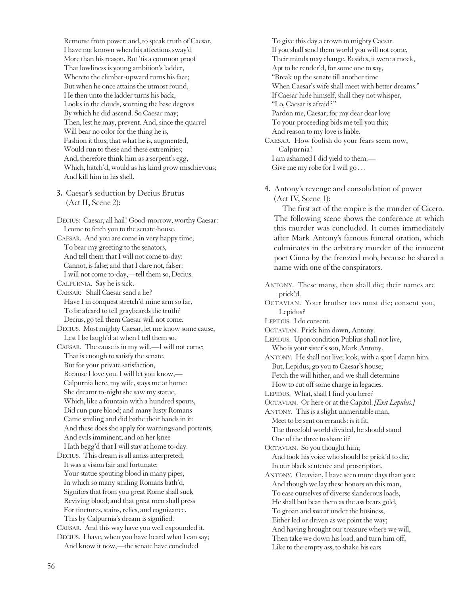Remorse from power: and, to speak truth of Caesar, I have not known when his affections sway'd More than his reason. But 'tis a common proof That lowliness is young ambition's ladder, Whereto the climber-upward turns his face; But when he once attains the utmost round, He then unto the ladder turns his back, Looks in the clouds, scorning the base degrees By which he did ascend. So Caesar may; Then, lest he may, prevent. And, since the quarrel Will bear no color for the thing he is, Fashion it thus; that what he is, augmented, Would run to these and these extremities; And, therefore think him as a serpent's egg, Which, hatch'd, would as his kind grow mischievous; And kill him in his shell.

**3.** Caesar's seduction by Decius Brutus (Act II, Scene 2):

DECIUS: Caesar, all hail! Good-morrow, worthy Caesar: Icome to fetch you to the senate-house. CAESAR. And you are come in very happy time, To bear my greeting to the senators, And tell them that I will not come to-day: Cannot, is false; and that I dare not, falser: I will not come to-day,—tell them so, Decius. CALPURNIA. Say he is sick. CAESAR: Shall Caesar send a lie? Have I in conquest stretch'd mine arm so far, To be afeard to tell graybeards the truth? Decius, go tell them Caesar will not come. DECIUS. Most mighty Caesar, let me know some cause, Lest I be laugh'd at when I tell them so. CAESAR. The cause is in my will,—I will not come; That is enough to satisfy the senate. But for your private satisfaction, Because I love you. I will let you know,— Calpurnia here, my wife, stays me at home: She dreamt to-night she saw my statue, Which, like a fountain with a hundred spouts, Did run pure blood; and many lusty Romans Came smiling and did bathe their hands in it: And these does she apply for warnings and portents, And evils imminent; and on her knee Hath begg'd that I will stay at home to-day. DECIUS. This dream is all amiss interpreted; It was a vision fair and fortunate: Your statue spouting blood in many pipes, In which so many smiling Romans bath'd, Signifies that from you great Rome shall suck Reviving blood; and that great men shall press For tinctures, stains, relics, and cognizance. This by Calpurnia's dream is signified. CAESAR. And this way have you well expounded it. DECIUS. I have, when you have heard what I can say; And know it now,—the senate have concluded

To give this day a crown to mighty Caesar. If you shall send them world you will not come, Their minds may change. Besides, it were a mock, Apt to be render'd, for some one to say, "Break up the senate till another time When Caesar's wife shall meet with better dreams." If Caesar hide himself, shall they not whisper, "Lo, Caesar is afraid?" Pardon me, Caesar; for my dear dear love To your proceeding bids me tell you this; And reason to my love is liable. CAESAR. How foolish do your fears seem now, Calpurnia! I am ashamed I did yield to them.— Give me my robe for I will go ...

**4.** Antony's revenge and consolidation of power (Act IV, Scene 1):

The first act of the empire is the murder of Cicero. The following scene shows the conference at which this murder was concluded. It comes immediately after Mark Antony's famous funeral oration, which culminates in the arbitrary murder of the innocent poet Cinna by the frenzied mob, because he shared a name with one of the conspirators.

ANTONY. These many, then shall die; their names are prick'd. OCTAVIAN. Your brother too must die; consent you, Lepidus? LEPIDUS. I do consent. OCTAVIAN. Prick him down, Antony. LEPIDUS. Upon condition Publius shall not live, Who is your sister's son, Mark Antony. ANTONY. He shall not live; look, with a spot I damn him. But, Lepidus, go you to Caesar's house; Fetch the will hither, and we shall determine How to cut off some charge in legacies. LEPIDUS. What, shall I find you here? OCTAVIAN. Or here or at the Capitol. *[Exit Lepidus.]* ANTONY. This is a slight unmeritable man, Meet to be sent on errands: is it fit, The threefold world divided, he should stand One of the three to share it? OCTAVIAN. So you thought him; And took his voice who should be prick'd to die, In our black sentence and proscription. ANTONY. Octavian, I have seen more days than you: And though we lay these honors on this man, To ease ourselves of diverse slanderous loads, He shall but bear them as the ass bears gold, To groan and sweat under the business, Either led or driven as we point the way; And having brought our treasure where we will, Then take we down his load, and turn him off, Like to the empty ass, to shake his ears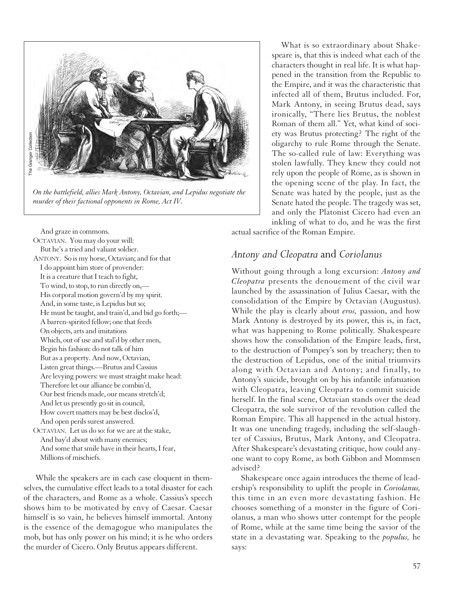

*On the battlefield, allies Mark Antony, Octavian, and Lepidus negotiate the murder of their factional opponents in Rome, Act IV.*

And graze in commons. OCTAVIAN. You may do your will: But he's a tried and valiant soldier. ANTONY. So is my horse, Octavian; and for that I do appoint him store of provender: It is a creature that I teach to fight, To wind, to stop, to run directly on,— His corporal motion govern'd by my spirit. And, in some taste, is Lepidus but so; He must be taught, and train'd, and bid go forth;— A barren-spirited fellow; one that feeds On objects, arts and imitations Which, out of use and stal'd by other men, Begin his fashion: do not talk of him But as a property. And now, Octavian, Listen great things.—Brutus and Cassius Are levying powers: we must straight make head: Therefore let our alliance be combin'd, Our best friends made, our means stretch'd; And let us presently go sit in council, How covert matters may be best disclos'd, And open perils surest answered. OCTAVIAN. Let us do so: for we are at the stake,

And bay'd about with many enemies; And some that smile have in their hearts, I fear, Millions of mischiefs.

While the speakers are in each case eloquent in themselves, the cumulative effect leads to a total disaster for each of the characters, and Rome as a whole. Cassius's speech shows him to be motivated by envy of Caesar. Caesar himself is so vain, he believes himself immortal. Antony is the essence of the demagogue who manipulates the mob, but has only power on his mind; it is he who orders the murder of Cicero. Only Brutus appears different.

What is so extraordinary about Shakespeare is, that this is indeed what each of the characters thought in real life. It is what happened in the transition from the Republic to the Empire, and it was the characteristic that infected all of them, Brutus included. For, Mark Antony, in seeing Brutus dead, says ironically, "There lies Brutus, the noblest Roman of them all." Yet, what kind of society was Brutus protecting? The right of the oligarchy to rule Rome through the Senate. The so-called rule of law: Everything was stolen lawfully. They knew they could not rely upon the people of Rome, as is shown in the opening scene of the play. In fact, the Senate was hated by the people, just as the Senate hated the people. The tragedy was set, and only the Platonist Cicero had even an inkling of what to do, and he was the first

actual sacrifice of the Roman Empire.

#### *Antony and Cleopatra* and *Coriolanus*

Without going through a long excursion: *Antony and Cleopatra* presents the denouement of the civil war launched by the assassination of Julius Caesar, with the consolidation of the Empire by Octavian (Augustus). While the play is clearly about *eros,* passion, and how Mark Antony is destroyed by its power, this is, in fact, what was happening to Rome politically. Shakespeare shows how the consolidation of the Empire leads, first, to the destruction of Pompey's son by treachery; then to the destruction of Lepidus, one of the initial triumvirs along with Octavian and Antony; and finally, to Antony's suicide, brought on by his infantile infatuation with Cleopatra, leaving Cleopatra to commit suicide herself. In the final scene, Octavian stands over the dead Cleopatra, the sole survivor of the revolution called the Roman Empire. This all happened in the actual history. It was one unending tragedy, including the self-slaughter of Cassius, Brutus, Mark Antony, and Cleopatra. After Shakespeare's devastating critique, how could anyone want to copy Rome, as both Gibbon and Mommsen advised?

Shakespeare once again introduces the theme of leadership's responsibility to uplift the people in *Coriolanus,* this time in an even more devastating fashion. He chooses something of a monster in the figure of Coriolanus, a man who shows utter contempt for the people of Rome, while at the same time being the savior of the state in a devastating war. Speaking to the *populus,* he says: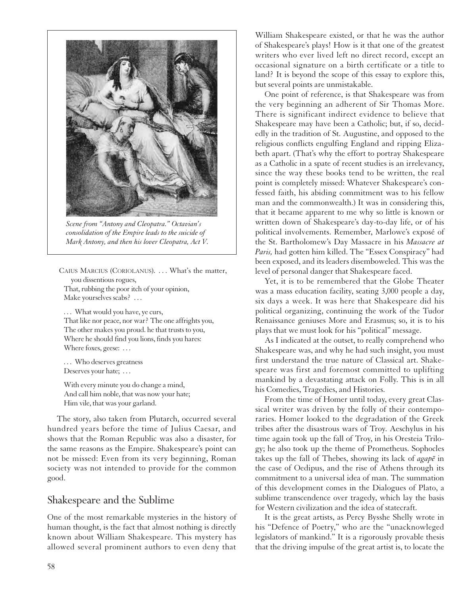

*Scene from "Antony and Cleopatra." Octavian's consolidation of the Empire leads to the suicide of Mark Antony, and then his lover Cleopatra, Act V.*

CAIUS MARCIUS (CORIOLANUS). . . . What's the matter, you dissentious rogues, That, rubbing the poor itch of your opinion, Make yourselves scabs? ...

... What would you have, ye curs, That like nor peace, nor war? The one affrights you, The other makes you proud. he that trusts to you, Where he should find you lions, finds you hares: Where foxes, geese: ...

... Who deserves greatness Deserves your hate; ...

With every minute you do change a mind, And call him noble, that was now your hate; Him vile, that was your garland.

The story, also taken from Plutarch, occurred several hundred years before the time of Julius Caesar, and shows that the Roman Republic was also a disaster, for the same reasons as the Empire. Shakespeare's point can not be missed: Even from its very beginning, Roman society was not intended to provide for the common good.

#### Shakespeare and the Sublime

One of the most remarkable mysteries in the history of human thought, is the fact that almost nothing is directly known about William Shakespeare. This mystery has allowed several prominent authors to even deny that

William Shakespeare existed, or that he was the author of Shakespeare's plays! How is it that one of the greatest writers who ever lived left no direct record, except an occasional signature on a birth certificate or a title to land? It is beyond the scope of this essay to explore this, but several points are unmistakable.

One point of reference, is that Shakespeare was from the very beginning an adherent of Sir Thomas More. There is significant indirect evidence to believe that Shakespeare may have been a Catholic; but, if so, decidedly in the tradition of St. Augustine, and opposed to the religious conflicts engulfing England and ripping Elizabeth apart. (That's why the effort to portray Shakespeare as a Catholic in a spate of recent studies is an irrelevancy, since the way these books tend to be written, the real point is completely missed: Whatever Shakespeare's confessed faith, his abiding commitment was to his fellow man and the commonwealth.) It was in considering this, that it became apparent to me why so little is known or written down of Shakespeare's day-to-day life, or of his political involvements. Remember, Marlowe's exposé of the St. Bartholomew's Day Massacre in his *Massacre at Paris,* had gotten him killed. The "Essex Conspiracy" had been exposed, and its leaders disemboweled. This was the level of personal danger that Shakespeare faced.

Yet, it is to be remembered that the Globe Theater was a mass education facility, seating 3,000 people a day, six days a week. It was here that Shakespeare did his political organizing, continuing the work of the Tudor Renaissance geniuses More and Erasmus; so, it is to his plays that we must look for his "political" message.

As I indicated at the outset, to really comprehend who Shakespeare was, and why he had such insight, you must first understand the true nature of Classical art. Shakespeare was first and foremost committed to uplifting mankind by a devastating attack on Folly. This is in all his Comedies, Tragedies, and Histories.

From the time of Homer until today, every great Classical writer was driven by the folly of their contemporaries. Homer looked to the degradation of the Greek tribes after the disastrous wars of Troy. Aeschylus in his time again took up the fall of Troy, in his Oresteia Trilogy; he also took up the theme of Prometheus. Sophocles takes up the fall of Thebes, showing its lack of *agape* in the case of Oedipus, and the rise of Athens through its commitment to a universal idea of man. The summation of this development comes in the Dialogues of Plato, a sublime transcendence over tragedy, which lay the basis for Western civilization and the idea of statecraft.

It is the great artists, as Percy Bysshe Shelly wrote in his "Defence of Poetry," who are the "unacknowleged legislators of mankind." It is a rigorously provable thesis that the driving impulse of the great artist is, to locate the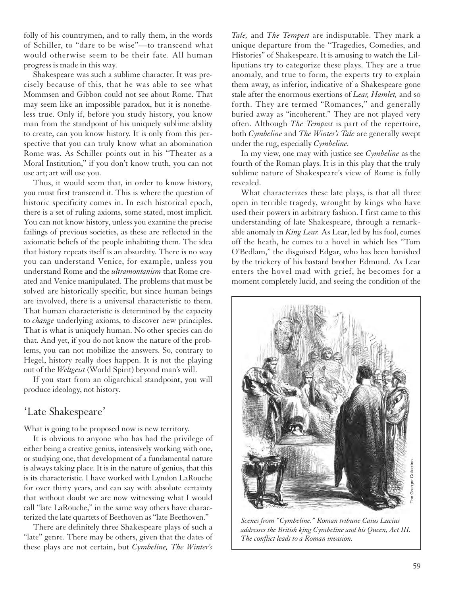folly of his countrymen, and to rally them, in the words of Schiller, to "dare to be wise"—to transcend what would otherwise seem to be their fate. All human progress is made in this way.

Shakespeare was such a sublime character. It was precisely because of this, that he was able to see what Mommsen and Gibbon could not see about Rome. That may seem like an impossible paradox, but it is nonetheless true. Only if, before you study history, you know man from the standpoint of his uniquely sublime ability to create, can you know history. It is only from this perspective that you can truly know what an abomination Rome was. As Schiller points out in his "Theater as a Moral Institution," if you don't know truth, you can not use art; art will use you.

Thus, it would seem that, in order to know history, you must first transcend it. This is where the question of historic specificity comes in. In each historical epoch, there is a set of ruling axioms, some stated, most implicit. You can not know history, unless you examine the precise failings of previous societies, as these are reflected in the axiomatic beliefs of the people inhabiting them. The idea that history repeats itself is an absurdity. There is no way you can understand Venice, for example, unless you understand Rome and the *ultramontanism* that Rome created and Venice manipulated. The problems that must be solved are historically specific, but since human beings are involved, there is a universal characteristic to them. That human characteristic is determined by the capacity to *change* underlying axioms, to discover new principles. That is what is uniquely human. No other species can do that. And yet, if you do not know the nature of the problems, you can not mobilize the answers. So, contrary to Hegel, history really does happen. It is not the playing out of the *Weltgeist* (World Spirit) beyond man's will.

If you start from an oligarchical standpoint, you will produce ideology, not history.

#### 'Late Shakespeare'

What is going to be proposed now is new territory.

It is obvious to anyone who has had the privilege of either being a creative genius, intensively working with one, or studying one, that development of a fundamental nature is always taking place. It is in the nature of genius, that this is its characteristic. I have worked with Lyndon LaRouche for over thirty years, and can say with absolute certainty that without doubt we are now witnessing what I would call "late LaRouche," in the same way others have characterized the late quartets of Beethoven as "late Beethoven."

There are definitely three Shakespeare plays of such a "late" genre. There may be others, given that the dates of these plays are not certain, but *Cymbeline, The Winter's*

*Tale,* and *The Tempest* are indisputable. They mark a unique departure from the "Tragedies, Comedies, and Histories" of Shakespeare. It is amusing to watch the Lilliputians try to categorize these plays. They are a true anomaly, and true to form, the experts try to explain them away, as inferior, indicative of a Shakespeare gone stale after the enormous exertions of *Lear, Hamlet,* and so forth. They are termed "Romances," and generally buried away as "incoherent." They are not played very often. Although *The Tempest* is part of the repertoire, both *Cymbeline* and *The Winter's Tale* are generally swept under the rug, especially *Cymbeline.*

In my view, one may with justice see *Cymbeline* as the fourth of the Roman plays. It is in this play that the truly sublime nature of Shakespeare's view of Rome is fully revealed.

What characterizes these late plays, is that all three open in terrible tragedy, wrought by kings who have used their powers in arbitrary fashion. I first came to this understanding of late Shakespeare, through a remarkable anomaly in *King Lear.* As Lear, led by his fool, comes off the heath, he comes to a hovel in which lies "Tom O'Bedlam," the disguised Edgar, who has been banished by the trickery of his bastard brother Edmund. As Lear enters the hovel mad with grief, he becomes for a moment completely lucid, and seeing the condition of the



*Scenes from "Cymbeline." Roman tribune Caius Lucius addresses the British king Cymbeline and his Queen, Act III. The conflict leads to a Roman invasion.*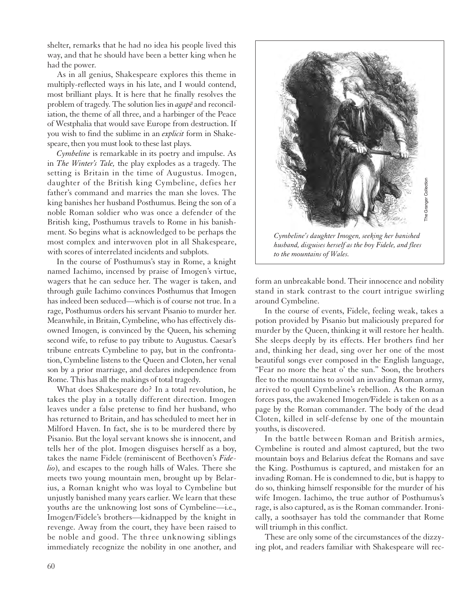shelter, remarks that he had no idea his people lived this way, and that he should have been a better king when he had the power.

As in all genius, Shakespeare explores this theme in multiply-reflected ways in his late, and I would contend, most brilliant plays. It is here that he finally resolves the problem of tragedy. The solution lies in *agape* and reconciliation, the theme of all three, and a harbinger of the Peace of Westphalia that would save Europe from destruction. If you wish to find the sublime in an *explicit* form in Shakespeare, then you must look to these last plays.

*Cymbeline* is remarkable in its poetry and impulse. As in *The Winter's Tale,* the play explodes as a tragedy. The setting is Britain in the time of Augustus. Imogen, daughter of the British king Cymbeline, defies her father's command and marries the man she loves. The king banishes her husband Posthumus. Being the son of a noble Roman soldier who was once a defender of the British king, Posthumus travels to Rome in his banishment. So begins what is acknowledged to be perhaps the most complex and interwoven plot in all Shakespeare, with scores of interrelated incidents and subplots.

In the course of Posthumus's stay in Rome, a knight named Iachimo, incensed by praise of Imogen's virtue, wagers that he can seduce her. The wager is taken, and through guile Iachimo convinces Posthumus that Imogen has indeed been seduced—which is of course not true. In a rage, Posthumus orders his servant Pisanio to murder her. Meanwhile, in Britain, Cymbeline, who has effectively disowned Imogen, is convinced by the Queen, his scheming second wife, to refuse to pay tribute to Augustus. Caesar's tribune entreats Cymbeline to pay, but in the confrontation, Cymbeline listens to the Queen and Cloten, her venal son by a prior marriage, and declares independence from Rome. This has all the makings of total tragedy.

What does Shakespeare do? In a total revolution, he takes the play in a totally different direction. Imogen leaves under a false pretense to find her husband, who has returned to Britain, and has scheduled to meet her in Milford Haven. In fact, she is to be murdered there by Pisanio. But the loyal servant knows she is innocent, and tells her of the plot. Imogen disguises herself as a boy, takes the name Fidele (reminiscent of Beethoven's *Fidelio*), and escapes to the rough hills of Wales. There she meets two young mountain men, brought up by Belarius, a Roman knight who was loyal to Cymbeline but unjustly banished many years earlier. We learn that these youths are the unknowing lost sons of Cymbeline—i.e., Imogen/Fidele's brothers—kidnapped by the knight in revenge. Away from the court, they have been raised to be noble and good. The three unknowing siblings immediately recognize the nobility in one another, and



*husband, disguises herself as the boy Fidele, and flees to the mountains of Wales.*

form an unbreakable bond. Their innocence and nobility stand in stark contrast to the court intrigue swirling around Cymbeline.

In the course of events, Fidele, feeling weak, takes a potion provided by Pisanio but maliciously prepared for murder by the Queen, thinking it will restore her health. She sleeps deeply by its effects. Her brothers find her and, thinking her dead, sing over her one of the most beautiful songs ever composed in the English language, "Fear no more the heat o' the sun." Soon, the brothers flee to the mountains to avoid an invading Roman army, arrived to quell Cymbeline's rebellion. As the Roman forces pass, the awakened Imogen/Fidele is taken on as a page by the Roman commander. The body of the dead Cloten, killed in self-defense by one of the mountain youths, is discovered.

In the battle between Roman and British armies, Cymbeline is routed and almost captured, but the two mountain boys and Belarius defeat the Romans and save the King. Posthumus is captured, and mistaken for an invading Roman. He is condemned to die, but is happy to do so, thinking himself responsible for the murder of his wife Imogen. Iachimo, the true author of Posthumus's rage, is also captured, as is the Roman commander. Ironically, a soothsayer has told the commander that Rome will triumph in this conflict.

These are only some of the circumstances of the dizzying plot, and readers familiar with Shakespeare will rec